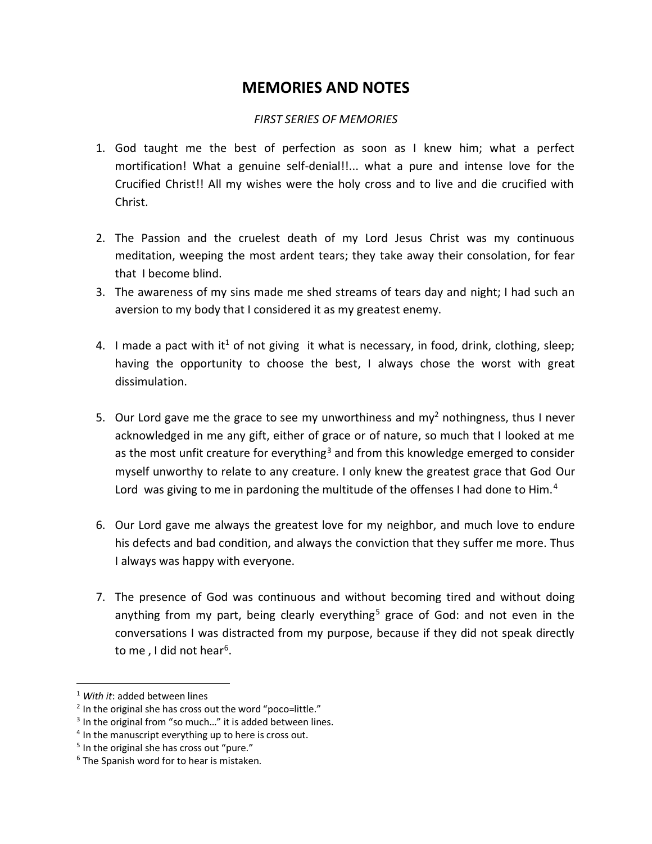## **MEMORIES AND NOTES**

## *FIRST SERIES OF MEMORIES*

- 1. God taught me the best of perfection as soon as I knew him; what a perfect mortification! What a genuine self-denial!!... what a pure and intense love for the Crucified Christ!! All my wishes were the holy cross and to live and die crucified with Christ.
- 2. The Passion and the cruelest death of my Lord Jesus Christ was my continuous meditation, weeping the most ardent tears; they take away their consolation, for fear that I become blind.
- 3. The awareness of my sins made me shed streams of tears day and night; I had such an aversion to my body that I considered it as my greatest enemy.
- 4. I made a pact with it<sup>1</sup> of not giving it what is necessary, in food, drink, clothing, sleep; having the opportunity to choose the best, I always chose the worst with great dissimulation.
- 5. Our Lord gave me the grace to see my unworthiness and my<sup>2</sup> nothingness, thus I never acknowledged in me any gift, either of grace or of nature, so much that I looked at me as the most unfit creature for everything<sup>3</sup> and from this knowledge emerged to consider myself unworthy to relate to any creature. I only knew the greatest grace that God Our Lord was giving to me in pardoning the multitude of the offenses I had done to Him.<sup>4</sup>
- 6. Our Lord gave me always the greatest love for my neighbor, and much love to endure his defects and bad condition, and always the conviction that they suffer me more. Thus I always was happy with everyone.
- 7. The presence of God was continuous and without becoming tired and without doing anything from my part, being clearly everything<sup>5</sup> grace of God: and not even in the conversations I was distracted from my purpose, because if they did not speak directly to me , I did not hear<sup>6</sup>.

 $\overline{a}$ 

<sup>1</sup> *With it*: added between lines

<sup>&</sup>lt;sup>2</sup> In the original she has cross out the word "poco=little."

<sup>&</sup>lt;sup>3</sup> In the original from "so much..." it is added between lines.

<sup>&</sup>lt;sup>4</sup> In the manuscript everything up to here is cross out.

<sup>&</sup>lt;sup>5</sup> In the original she has cross out "pure."

 $6$  The Spanish word for to hear is mistaken.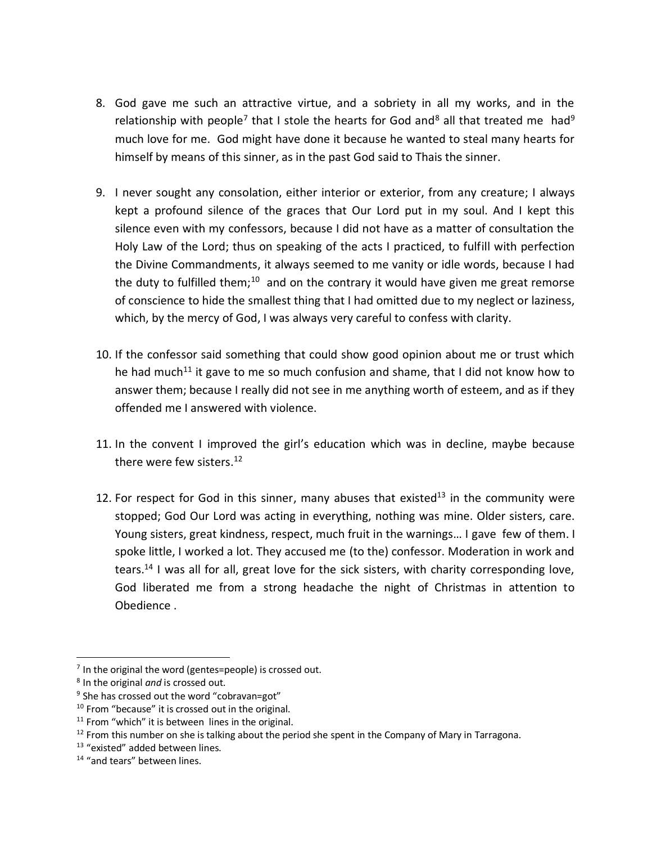- 8. God gave me such an attractive virtue, and a sobriety in all my works, and in the relationship with people<sup>7</sup> that I stole the hearts for God and<sup>8</sup> all that treated me had<sup>9</sup> much love for me. God might have done it because he wanted to steal many hearts for himself by means of this sinner, as in the past God said to Thais the sinner.
- 9. I never sought any consolation, either interior or exterior, from any creature; I always kept a profound silence of the graces that Our Lord put in my soul. And I kept this silence even with my confessors, because I did not have as a matter of consultation the Holy Law of the Lord; thus on speaking of the acts I practiced, to fulfill with perfection the Divine Commandments, it always seemed to me vanity or idle words, because I had the duty to fulfilled them;<sup>10</sup> and on the contrary it would have given me great remorse of conscience to hide the smallest thing that I had omitted due to my neglect or laziness, which, by the mercy of God, I was always very careful to confess with clarity.
- 10. If the confessor said something that could show good opinion about me or trust which he had much<sup>11</sup> it gave to me so much confusion and shame, that I did not know how to answer them; because I really did not see in me anything worth of esteem, and as if they offended me I answered with violence.
- 11. In the convent I improved the girl's education which was in decline, maybe because there were few sisters.<sup>12</sup>
- 12. For respect for God in this sinner, many abuses that existed<sup>13</sup> in the community were stopped; God Our Lord was acting in everything, nothing was mine. Older sisters, care. Young sisters, great kindness, respect, much fruit in the warnings… I gave few of them. I spoke little, I worked a lot. They accused me (to the) confessor. Moderation in work and tears.<sup>14</sup> I was all for all, great love for the sick sisters, with charity corresponding love, God liberated me from a strong headache the night of Christmas in attention to Obedience .

 $\overline{a}$ 

 $7$  In the original the word (gentes=people) is crossed out.

<sup>8</sup> In the original *and* is crossed out.

<sup>&</sup>lt;sup>9</sup> She has crossed out the word "cobravan=got"

<sup>&</sup>lt;sup>10</sup> From "because" it is crossed out in the original.

 $11$  From "which" it is between lines in the original.

 $12$  From this number on she is talking about the period she spent in the Company of Mary in Tarragona.

<sup>&</sup>lt;sup>13</sup> "existed" added between lines.

<sup>&</sup>lt;sup>14</sup> "and tears" between lines.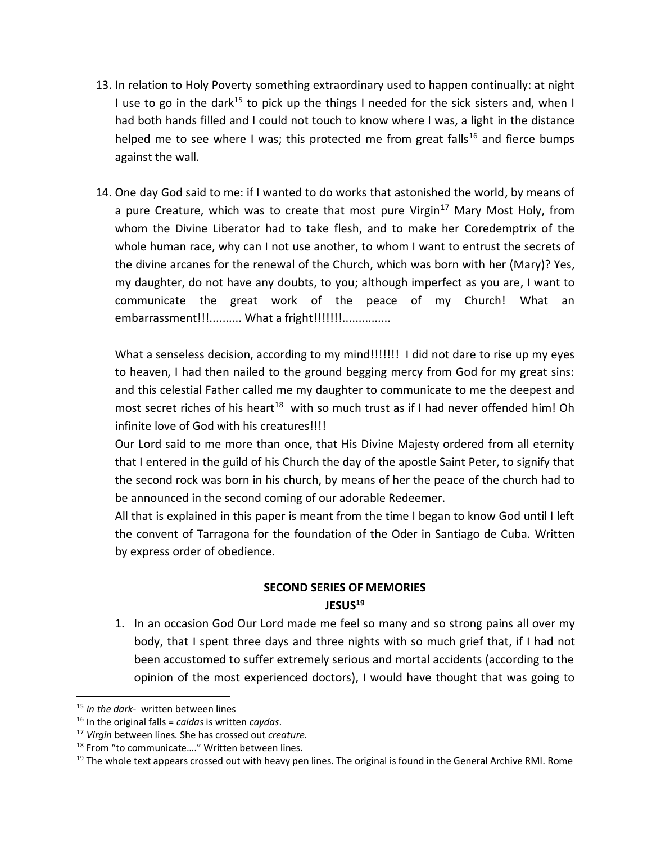- 13. In relation to Holy Poverty something extraordinary used to happen continually: at night I use to go in the dark<sup>15</sup> to pick up the things I needed for the sick sisters and, when I had both hands filled and I could not touch to know where I was, a light in the distance helped me to see where I was; this protected me from great falls<sup>16</sup> and fierce bumps against the wall.
- 14. One day God said to me: if I wanted to do works that astonished the world, by means of a pure Creature, which was to create that most pure Virgin<sup>17</sup> Mary Most Holy, from whom the Divine Liberator had to take flesh, and to make her Coredemptrix of the whole human race, why can I not use another, to whom I want to entrust the secrets of the divine arcanes for the renewal of the Church, which was born with her (Mary)? Yes, my daughter, do not have any doubts, to you; although imperfect as you are, I want to communicate the great work of the peace of my Church! What an embarrassment!!!.......... What a fright!!!!!!!!...............

What a senseless decision, according to my mind!!!!!!! I did not dare to rise up my eyes to heaven, I had then nailed to the ground begging mercy from God for my great sins: and this celestial Father called me my daughter to communicate to me the deepest and most secret riches of his heart<sup>18</sup> with so much trust as if I had never offended him! Oh infinite love of God with his creatures!!!!

Our Lord said to me more than once, that His Divine Majesty ordered from all eternity that I entered in the guild of his Church the day of the apostle Saint Peter, to signify that the second rock was born in his church, by means of her the peace of the church had to be announced in the second coming of our adorable Redeemer.

All that is explained in this paper is meant from the time I began to know God until I left the convent of Tarragona for the foundation of the Oder in Santiago de Cuba. Written by express order of obedience.

## **SECOND SERIES OF MEMORIES JESUS<sup>19</sup>**

1. In an occasion God Our Lord made me feel so many and so strong pains all over my body, that I spent three days and three nights with so much grief that, if I had not been accustomed to suffer extremely serious and mortal accidents (according to the opinion of the most experienced doctors), I would have thought that was going to

 $\overline{\phantom{a}}$ 

<sup>15</sup> *In the dark-* written between lines

<sup>16</sup> In the original falls = *caidas* is written *caydas*.

<sup>17</sup> *Virgin* between lines. She has crossed out *creature.*

<sup>18</sup> From "to communicate…." Written between lines.

<sup>&</sup>lt;sup>19</sup> The whole text appears crossed out with heavy pen lines. The original is found in the General Archive RMI. Rome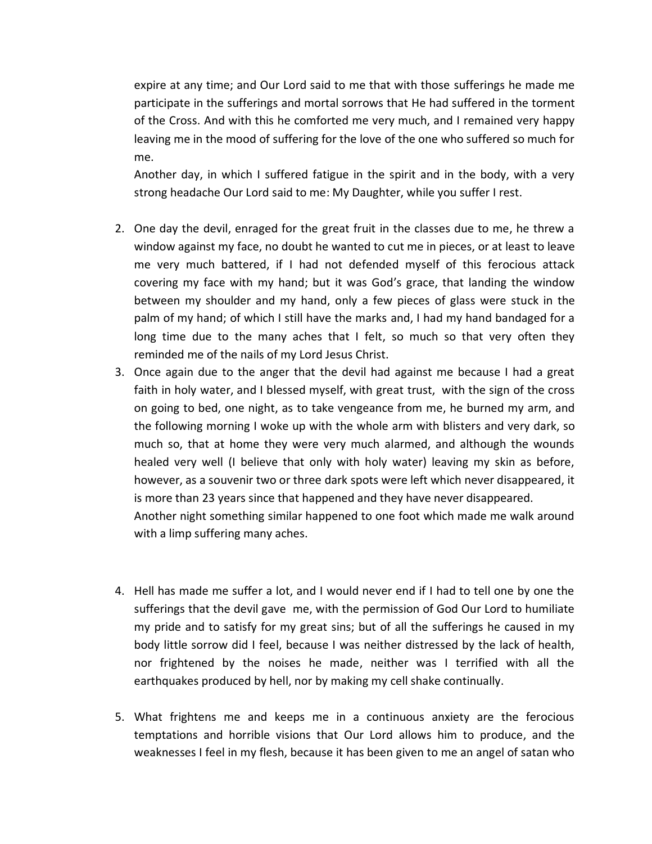expire at any time; and Our Lord said to me that with those sufferings he made me participate in the sufferings and mortal sorrows that He had suffered in the torment of the Cross. And with this he comforted me very much, and I remained very happy leaving me in the mood of suffering for the love of the one who suffered so much for me.

Another day, in which I suffered fatigue in the spirit and in the body, with a very strong headache Our Lord said to me: My Daughter, while you suffer I rest.

- 2. One day the devil, enraged for the great fruit in the classes due to me, he threw a window against my face, no doubt he wanted to cut me in pieces, or at least to leave me very much battered, if I had not defended myself of this ferocious attack covering my face with my hand; but it was God's grace, that landing the window between my shoulder and my hand, only a few pieces of glass were stuck in the palm of my hand; of which I still have the marks and, I had my hand bandaged for a long time due to the many aches that I felt, so much so that very often they reminded me of the nails of my Lord Jesus Christ.
- 3. Once again due to the anger that the devil had against me because I had a great faith in holy water, and I blessed myself, with great trust, with the sign of the cross on going to bed, one night, as to take vengeance from me, he burned my arm, and the following morning I woke up with the whole arm with blisters and very dark, so much so, that at home they were very much alarmed, and although the wounds healed very well (I believe that only with holy water) leaving my skin as before, however, as a souvenir two or three dark spots were left which never disappeared, it is more than 23 years since that happened and they have never disappeared. Another night something similar happened to one foot which made me walk around with a limp suffering many aches.
- 4. Hell has made me suffer a lot, and I would never end if I had to tell one by one the sufferings that the devil gave me, with the permission of God Our Lord to humiliate my pride and to satisfy for my great sins; but of all the sufferings he caused in my body little sorrow did I feel, because I was neither distressed by the lack of health, nor frightened by the noises he made, neither was I terrified with all the earthquakes produced by hell, nor by making my cell shake continually.
- 5. What frightens me and keeps me in a continuous anxiety are the ferocious temptations and horrible visions that Our Lord allows him to produce, and the weaknesses I feel in my flesh, because it has been given to me an angel of satan who